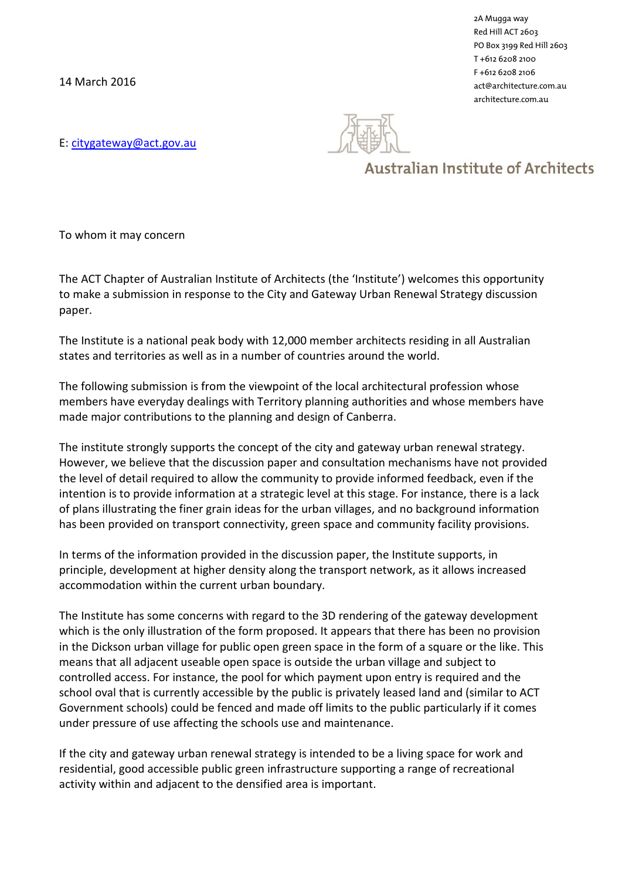14 March 2016

2A Mugga way Red Hill ACT 2603 PO Box 3199 Red Hill 2603 T +612 6208 2100 F +612 6208 2106 act@architecture.com.au architecture.com.au

E: [citygateway@act.gov.au](mailto:citygateway@act.gov.au)

## **Australian Institute of Architects**

To whom it may concern

The ACT Chapter of Australian Institute of Architects (the 'Institute') welcomes this opportunity to make a submission in response to the City and Gateway Urban Renewal Strategy discussion paper.

The Institute is a national peak body with 12,000 member architects residing in all Australian states and territories as well as in a number of countries around the world.

The following submission is from the viewpoint of the local architectural profession whose members have everyday dealings with Territory planning authorities and whose members have made major contributions to the planning and design of Canberra.

The institute strongly supports the concept of the city and gateway urban renewal strategy. However, we believe that the discussion paper and consultation mechanisms have not provided the level of detail required to allow the community to provide informed feedback, even if the intention is to provide information at a strategic level at this stage. For instance, there is a lack of plans illustrating the finer grain ideas for the urban villages, and no background information has been provided on transport connectivity, green space and community facility provisions.

In terms of the information provided in the discussion paper, the Institute supports, in principle, development at higher density along the transport network, as it allows increased accommodation within the current urban boundary.

The Institute has some concerns with regard to the 3D rendering of the gateway development which is the only illustration of the form proposed. It appears that there has been no provision in the Dickson urban village for public open green space in the form of a square or the like. This means that all adjacent useable open space is outside the urban village and subject to controlled access. For instance, the pool for which payment upon entry is required and the school oval that is currently accessible by the public is privately leased land and (similar to ACT Government schools) could be fenced and made off limits to the public particularly if it comes under pressure of use affecting the schools use and maintenance.

If the city and gateway urban renewal strategy is intended to be a living space for work and residential, good accessible public green infrastructure supporting a range of recreational activity within and adjacent to the densified area is important.